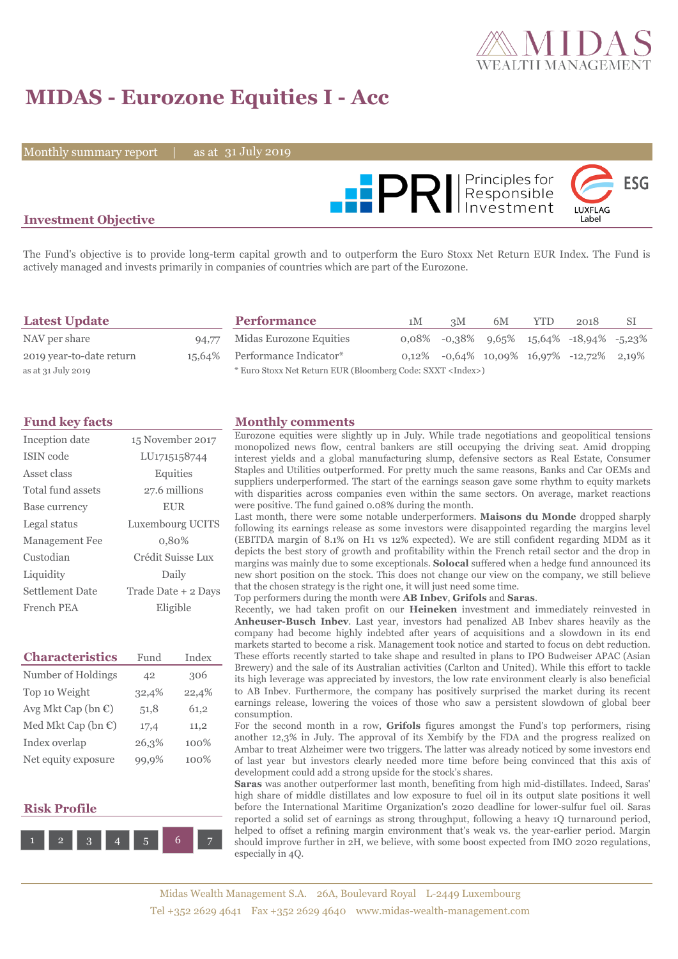

# **MIDAS - Eurozone Equities I - Acc**

Monthly summary report  $\|$ 

31 July 2019



## **Investment Objective**

The Fund's objective is to provide long-term capital growth and to outperform the Euro Stoxx Net Return EUR Index. The Fund is actively managed and invests primarily in companies of countries which are part of the Eurozone.

| <b>Latest Update</b>     |       | <b>Performance</b>                                                 | 1M | 3M | 6M | <b>YTD</b> | 2018                                        | -SI |
|--------------------------|-------|--------------------------------------------------------------------|----|----|----|------------|---------------------------------------------|-----|
| NAV per share            | 94,77 | Midas Eurozone Equities                                            |    |    |    |            | $0.08\%$ -0.38% 9.65% 15.64% -18.94% -5.23% |     |
| 2019 year-to-date return |       | 15,64% Performance Indicator*                                      |    |    |    |            | $0,12\%$ -0,64% 10,09% 16,97% -12,72% 2,19% |     |
| as at 31 July 2019       |       | * Euro Stoxx Net Return EUR (Bloomberg Code: SXXT <index>)</index> |    |    |    |            |                                             |     |

| Inception date        | 15 November 2017    |
|-----------------------|---------------------|
| ISIN code             | LU1715158744        |
| Asset class           | Equities            |
| Total fund assets     | 27.6 millions       |
| Base currency         | <b>EUR</b>          |
| Legal status          | Luxembourg UCITS    |
| <b>Management Fee</b> | 0.80%               |
| Custodian             | Crédit Suisse Lux   |
| Liquidity             | Daily               |
| Settlement Date       | Trade Date + 2 Days |
| French PEA            | Eligible            |

| <b>Characteristics</b>         | Fund  | Index |
|--------------------------------|-------|-------|
| Number of Holdings             | 42    | 306   |
| Top 10 Weight                  | 32,4% | 22,4% |
| Avg Mkt Cap (bn $\mathbb{C}$ ) | 51,8  | 61,2  |
| Med Mkt Cap (bn $\epsilon$ )   | 17,4  | 11,2  |
| Index overlap                  | 26,3% | 100%  |
| Net equity exposure            | 99,9% | 100%  |

### **Risk Profile**



#### **Fund key facts Monthly comments**

Eurozone equities were slightly up in July. While trade negotiations and geopolitical tensions monopolized news flow, central bankers are still occupying the driving seat. Amid dropping interest yields and a global manufacturing slump, defensive sectors as Real Estate, Consumer Staples and Utilities outperformed. For pretty much the same reasons, Banks and Car OEMs and suppliers underperformed. The start of the earnings season gave some rhythm to equity markets with disparities across companies even within the same sectors. On average, market reactions were positive. The fund gained 0.08% during the month.

Last month, there were some notable underperformers. **Maisons du Monde** dropped sharply following its earnings release as some investors were disappointed regarding the margins level (EBITDA margin of 8.1% on H1 vs 12% expected). We are still confident regarding MDM as it depicts the best story of growth and profitability within the French retail sector and the drop in margins was mainly due to some exceptionals. **Solocal** suffered when a hedge fund announced its new short position on the stock. This does not change our view on the company, we still believe that the chosen strategy is the right one, it will just need some time.

Top performers during the month were **AB Inbev**, **Grifols** and **Saras**.

Recently, we had taken profit on our **Heineken** investment and immediately reinvested in **Anheuser-Busch Inbev**. Last year, investors had penalized AB Inbev shares heavily as the company had become highly indebted after years of acquisitions and a slowdown in its end markets started to become a risk. Management took notice and started to focus on debt reduction. These efforts recently started to take shape and resulted in plans to IPO Budweiser APAC (Asian Brewery) and the sale of its Australian activities (Carlton and United). While this effort to tackle its high leverage was appreciated by investors, the low rate environment clearly is also beneficial to AB Inbev. Furthermore, the company has positively surprised the market during its recent earnings release, lowering the voices of those who saw a persistent slowdown of global beer consumption.

For the second month in a row, **Grifols** figures amongst the Fund's top performers, rising another 12,3% in July. The approval of its Xembify by the FDA and the progress realized on Ambar to treat Alzheimer were two triggers. The latter was already noticed by some investors end of last year but investors clearly needed more time before being convinced that this axis of development could add a strong upside for the stock's shares.

**Saras** was another outperformer last month, benefiting from high mid-distillates. Indeed, Saras' high share of middle distillates and low exposure to fuel oil in its output slate positions it well before the International Maritime Organization's 2020 deadline for lower-sulfur fuel oil. Saras reported a solid set of earnings as strong throughput, following a heavy 1Q turnaround period, helped to offset a refining margin environment that's weak vs. the year-earlier period. Margin should improve further in 2H, we believe, with some boost expected from IMO 2020 regulations, especially in 4Q.